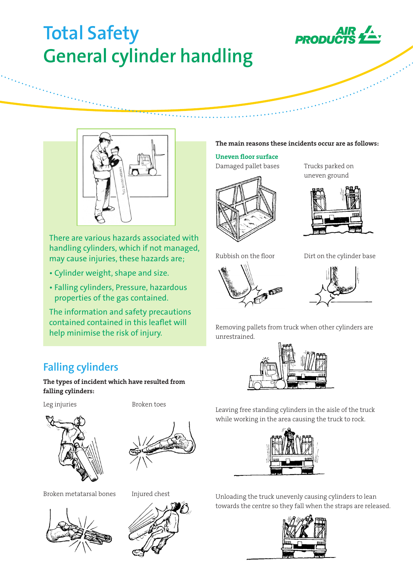# **Total Safety General cylinder handling**





There are various hazards associated with handling cylinders, which if not managed, may cause injuries, these hazards are;

- Cylinder weight, shape and size.
- Falling cylinders, Pressure, hazardous properties of the gas contained.

The information and safety precautions contained contained in this leaflet will help minimise the risk of injury.

# **Falling cylinders**

The types of incident which have resulted from falling cylinders:

Leg injuries Broken toes





Broken metatarsal bones Injured chest





#### The main reasons these incidents occur are as follows:

# Uneven floor surface

Damaged pallet bases Trucks parked on



uneven ground





Rubbish on the floor Dirt on the cylinder base



Removing pallets from truck when other cylinders are unrestrained.



Leaving free standing cylinders in the aisle of the truck while working in the area causing the truck to rock.



Unloading the truck unevenly causing cylinders to lean towards the centre so they fall when the straps are released.

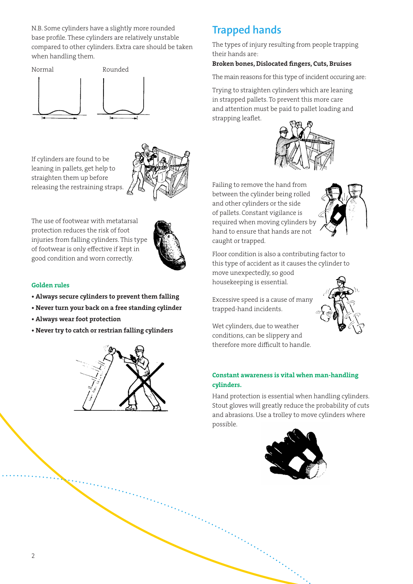N.B. Some cylinders have a slightly more rounded base profile. These cylinders are relatively unstable compared to other cylinders. Extra care should be taken when handling them.



If cylinders are found to be leaning in pallets, get help to straighten them up before releasing the restraining straps.



The use of footwear with metatarsal protection reduces the risk of foot injuries from falling cylinders. This type of footwear is only effective if kept in good condition and worn correctly.



### Golden rules

- Always secure cylinders to prevent them falling
- Never turn your back on a free standing cylinder
- Always wear foot protection
- Never try to catch or restrian falling cylinders



# **Trapped hands**

The types of injury resulting from people trapping their hands are:

#### Broken bones, Dislocated fingers, Cuts, Bruises

The main reasons for this type of incident occuring are:

Trying to straighten cylinders which are leaning in strapped pallets. To prevent this more care and attention must be paid to pallet loading and strapping leaflet.



Failing to remove the hand from between the cylinder being rolled and other cylinders or the side of pallets. Constant vigilance is required when moving cylinders by hand to ensure that hands are not caught or trapped.



Floor condition is also a contributing factor to this type of accident as it causes the cylinder to move unexpectedly, so good housekeeping is essential.

Excessive speed is a cause of many trapped-hand incidents.



Wet cylinders, due to weather conditions, can be slippery and therefore more difficult to handle.

# Constant awareness is vital when man-handling cylinders.

Hand protection is essential when handling cylinders. Stout gloves will greatly reduce the probability of cuts and abrasions. Use a trolley to move cylinders where possible.

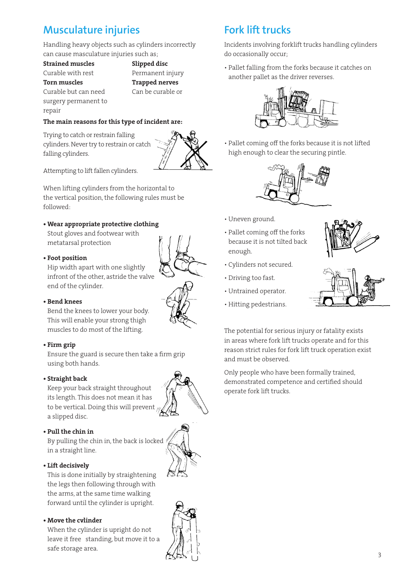# **Musculature injuries**

Handling heavy objects such as cylinders incorrectly can cause masculature injuries such as;

Strained muscles Slipped disc Curable with rest Permanent injury Torn muscles Trapped nerves Curable but can need Can be curable or surgery permanent to

repair

# The main reasons for this type of incident are:

Trying to catch or restrain falling cylinders. Never try to restrain or catch falling cylinders.



Attempting to lift fallen cylinders.

When lifting cylinders from the horizontal to the vertical position, the following rules must be followed:

# • Wear appropriate protective clothing

Stout gloves and footwear with metatarsal protection

#### • Foot position

Hip width apart with one slightly infront of the other, astride the valve end of the cylinder.



#### • Bend knees

Bend the knees to lower your body. This will enable your strong thigh muscles to do most of the lifting.

### • Firm grip

Ensure the guard is secure then take a firm grip using both hands.

### • Straight back

Keep your back straight throughout its length. This does not mean it has to be vertical. Doing this will prevent a slipped disc.

#### • Pull the chin in

By pulling the chin in, the back is locked in a straight line.

### • Lift decisively

This is done initially by straightening the legs then following through with the arms, at the same time walking forward until the cylinder is upright.

#### • Move the cvlinder

When the cylinder is upright do not leave it free standing, but move it to a safe storage area.

# **Fork lift trucks**

Incidents involving forklift trucks handling cylinders do occasionally occur;

• Pallet falling from the forks because it catches on another pallet as the driver reverses.



• Pallet coming off the forks because it is not lifted high enough to clear the securing pintle.



- Uneven ground.
- Pallet coming off the forks because it is not tilted back enough.
- Cylinders not secured.
- Driving too fast.
- Untrained operator.
- Hitting pedestrians.





The potential for serious injury or fatality exists in areas where fork lift trucks operate and for this reason strict rules for fork lift truck operation exist and must be observed.

Only people who have been formally trained, demonstrated competence and certified should operate fork lift trucks.